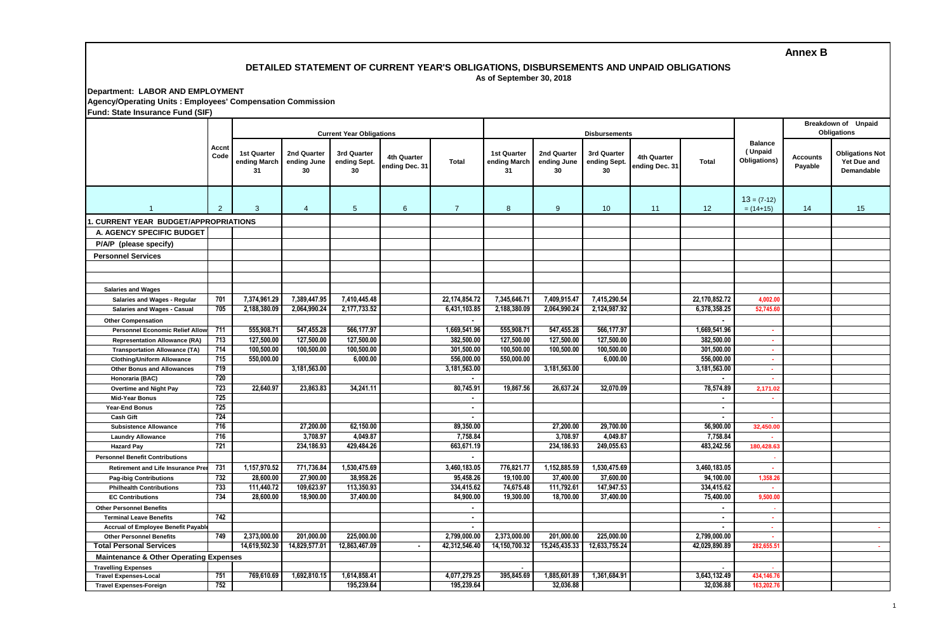## **Annex B**

### **DETAILED STATEMENT OF CURRENT YEAR'S OBLIGATIONS, DISBURSEMENTS AND UNPAID OBLIGATIONS As of September 30, 2018**

**Department: LABOR AND EMPLOYMENT Agency/Operating Units : Employees' Compensation Commission Fund: State Insurance Fund (SIF)**

| Fund: State Insurance Fund (SIF)                  |                |                                          |                                  |                                   |                               |                            |                                          |                                  |                                   |                               |                                           |                                           |                            |                                                     |
|---------------------------------------------------|----------------|------------------------------------------|----------------------------------|-----------------------------------|-------------------------------|----------------------------|------------------------------------------|----------------------------------|-----------------------------------|-------------------------------|-------------------------------------------|-------------------------------------------|----------------------------|-----------------------------------------------------|
|                                                   | Accnt<br>Code  |                                          |                                  | <b>Current Year Obligations</b>   |                               |                            |                                          |                                  | <b>Disbursements</b>              |                               | Breakdown of Unpaid<br><b>Obligations</b> |                                           |                            |                                                     |
|                                                   |                | <b>1st Quarter</b><br>ending March<br>31 | 2nd Quarter<br>ending June<br>30 | 3rd Quarter<br>ending Sept.<br>30 | 4th Quarter<br>ending Dec. 31 | <b>Total</b>               | <b>1st Quarter</b><br>ending March<br>31 | 2nd Quarter<br>ending June<br>30 | 3rd Quarter<br>ending Sept.<br>30 | 4th Quarter<br>ending Dec. 31 | <b>Total</b>                              | <b>Balance</b><br>(Unpaid<br>Obligations) | <b>Accounts</b><br>Payable | <b>Obligations Not</b><br>Yet Due and<br>Demandable |
|                                                   | $\overline{2}$ | 3                                        | $\overline{4}$                   | $5\phantom{.0}$                   | 6                             | $\overline{7}$             | 8                                        | 9                                | 10                                | 11                            | 12                                        | $13 = (7-12)$<br>$= (14+15)$              | 14                         | 15                                                  |
| 1. CURRENT YEAR BUDGET/APPROPRIATIONS             |                |                                          |                                  |                                   |                               |                            |                                          |                                  |                                   |                               |                                           |                                           |                            |                                                     |
| A. AGENCY SPECIFIC BUDGET                         |                |                                          |                                  |                                   |                               |                            |                                          |                                  |                                   |                               |                                           |                                           |                            |                                                     |
| P/A/P (please specify)                            |                |                                          |                                  |                                   |                               |                            |                                          |                                  |                                   |                               |                                           |                                           |                            |                                                     |
|                                                   |                |                                          |                                  |                                   |                               |                            |                                          |                                  |                                   |                               |                                           |                                           |                            |                                                     |
| <b>Personnel Services</b>                         |                |                                          |                                  |                                   |                               |                            |                                          |                                  |                                   |                               |                                           |                                           |                            |                                                     |
|                                                   |                |                                          |                                  |                                   |                               |                            |                                          |                                  |                                   |                               |                                           |                                           |                            |                                                     |
|                                                   |                |                                          |                                  |                                   |                               |                            |                                          |                                  |                                   |                               |                                           |                                           |                            |                                                     |
| <b>Salaries and Wages</b>                         |                |                                          |                                  |                                   |                               |                            |                                          |                                  |                                   |                               |                                           |                                           |                            |                                                     |
| Salaries and Wages - Regular                      | 701            | 7,374,961.29                             | 7,389,447.95                     | 7,410,445.48                      |                               | 22,174,854.72              | 7,345,646.71                             | 7,409,915.47                     | 7,415,290.54                      |                               | 22,170,852.72                             | 4,002.00                                  |                            |                                                     |
| <b>Salaries and Wages - Casual</b>                | 705            | 2,188,380.09                             | 2,064,990.24                     | 2,177,733.52                      |                               | 6,431,103.85               | 2,188,380.09                             | 2,064,990.24                     | 2,124,987.92                      |                               | 6,378,358.25                              | 52,745.6                                  |                            |                                                     |
| <b>Other Compensation</b>                         |                |                                          |                                  |                                   |                               | $\overline{\phantom{a}}$   |                                          |                                  |                                   |                               |                                           |                                           |                            |                                                     |
| <b>Personnel Economic Relief Allov</b>            | 711            | 555,908.71                               | 547,455.28                       | 566,177.97                        |                               | 1,669,541.96               | 555,908.71                               | 547,455.28                       | 566,177.97                        |                               | 1,669,541.96                              | ×.                                        |                            |                                                     |
| <b>Representation Allowance (RA)</b>              | 713            | 127,500.00                               | 127,500.00                       | 127,500.00                        |                               | 382,500.00                 | 127,500.00                               | 127,500.00                       | 127,500.00                        |                               | 382,500.00                                | $\sim$                                    |                            |                                                     |
| <b>Transportation Allowance (TA)</b>              | 714            | 100,500.00                               | 100,500.00                       | 100,500.00                        |                               | 301,500.00                 | 100,500.00                               | 100,500.00                       | 100,500.00                        |                               | 301,500.00                                | ×.                                        |                            |                                                     |
| <b>Clothing/Uniform Allowance</b>                 | 715            | 550,000.00                               |                                  | 6,000,00                          |                               | 556,000.00                 | 550.000.00                               |                                  | 6,000.00                          |                               | 556.000.00                                | $\sim$                                    |                            |                                                     |
| <b>Other Bonus and Allowances</b>                 | 719            |                                          | 3,181,563.00                     |                                   |                               | 3,181,563.00               |                                          | 3,181,563.00                     |                                   |                               | 3,181,563.00                              | $\sim$                                    |                            |                                                     |
| Honoraria (BAC)                                   | 720            |                                          |                                  |                                   |                               | $\blacksquare$             |                                          |                                  |                                   |                               | $\blacksquare$                            | ×.                                        |                            |                                                     |
| <b>Overtime and Night Pay</b>                     | 723            | 22,640.97                                | 23,863.83                        | 34,241.11                         |                               | 80,745.91                  | 19,867.56                                | 26,637.24                        | 32,070.09                         |                               | 78,574.89                                 | 2,171.02                                  |                            |                                                     |
| <b>Mid-Year Bonus</b>                             | 725            |                                          |                                  |                                   |                               | $\blacksquare$             |                                          |                                  |                                   |                               | $\blacksquare$                            | $\mathbf{r}$                              |                            |                                                     |
| Year-End Bonus                                    | 725            |                                          |                                  |                                   |                               | $\blacksquare$             |                                          |                                  |                                   |                               | $\blacksquare$                            |                                           |                            |                                                     |
| <b>Cash Gift</b>                                  | 724            |                                          |                                  |                                   |                               | $\blacksquare$             |                                          |                                  |                                   |                               | $\blacksquare$                            | ×                                         |                            |                                                     |
| <b>Subsistence Allowance</b>                      | 716            |                                          | 27,200.00                        | 62,150.00                         |                               | 89,350.00                  |                                          | 27,200.00                        | 29,700.00                         |                               | 56,900.00                                 | 32,450.00                                 |                            |                                                     |
| <b>Laundry Allowance</b>                          | 716            |                                          | 3,708.97                         | 4,049.87                          |                               | 7,758.84                   |                                          | 3,708.97                         | 4,049.87                          |                               | 7,758.84                                  | ×.                                        |                            |                                                     |
| <b>Hazard Pay</b>                                 | 721            |                                          | 234,186.93                       | 429,484.26                        |                               | 663,671.19                 |                                          | 234,186.93                       | 249,055.63                        |                               | 483,242.56                                | 180,428.6                                 |                            |                                                     |
| <b>Personnel Benefit Contributions</b>            |                |                                          |                                  |                                   |                               |                            |                                          |                                  |                                   |                               |                                           |                                           |                            |                                                     |
| Retirement and Life Insurance Pre                 | 731            | 1,157,970.52                             | 771,736.84                       | 1,530,475.69                      |                               | 3,460,183.05               | 776,821.77                               | 1,152,885.59                     | 1,530,475.69                      |                               | 3,460,183.05                              | ×.                                        |                            |                                                     |
| <b>Pag-ibig Contributions</b>                     | 732            | 28,600.00                                | 27,900.00                        | 38,958.26                         |                               | 95,458.26                  | 19,100.00                                | 37,400.00                        | 37,600.00                         |                               | 94,100.00                                 | 1,358.26                                  |                            |                                                     |
| <b>Philhealth Contributions</b>                   | 733            | 111,440.72                               | 109,623.97                       | 113,350.93                        |                               | 334,415.62                 | 74,675.48                                | 111,792.61                       | 147,947.53                        |                               | 334,415.62                                | ×.                                        |                            |                                                     |
| <b>EC Contributions</b>                           | 734            | 28,600.00                                | 18,900.00                        | 37,400.00                         |                               | 84.900.00                  | 19,300.00                                | 18,700.00                        | 37,400.00                         |                               | 75,400.00                                 | 9,500.00                                  |                            |                                                     |
| <b>Other Personnel Benefits</b>                   |                |                                          |                                  |                                   |                               |                            |                                          |                                  |                                   |                               |                                           |                                           |                            |                                                     |
| <b>Terminal Leave Benefits</b>                    | 742            |                                          |                                  |                                   |                               | $\blacksquare$             |                                          |                                  |                                   |                               | $\sim$                                    | ×                                         |                            |                                                     |
| Accrual of Employee Benefit Payabl                |                |                                          |                                  |                                   |                               | $\blacksquare$             |                                          |                                  |                                   |                               | $\overline{\phantom{a}}$                  | $\mathbf{r}$                              |                            | a.                                                  |
| <b>Other Personnel Benefits</b>                   | 749            | 2,373,000.00                             | 201,000.00                       | 225,000.00                        |                               | 2,799,000.00               | 2,373,000.00                             | 201.000.00                       | 225,000.00                        |                               | 2,799,000.00                              | $\mathbf{r}$                              |                            |                                                     |
| <b>Total Personal Services</b>                    |                | 14,619,502.30                            | 14,829,577.01                    | 12,863,467.09                     |                               | 42,312,546.40              | 14,150,700.32                            | 15,245,435.33                    | 12,633,755.24                     |                               | 42.029.890.89                             | 282,655.5                                 |                            | <b>A</b>                                            |
| <b>Maintenance &amp; Other Operating Expenses</b> |                |                                          |                                  |                                   |                               |                            |                                          |                                  |                                   |                               |                                           |                                           |                            |                                                     |
| <b>Travelling Expenses</b>                        |                |                                          |                                  |                                   |                               |                            |                                          |                                  |                                   |                               |                                           |                                           |                            |                                                     |
| <b>Travel Expenses-Local</b>                      | 751<br>752     | 769,610.69                               | 1,692,810.15                     | 1,614,858.41                      |                               | 4,077,279.25<br>195,239.64 | 395,845.69                               | 1,885,601.89                     | 1,361,684.91                      |                               | 3,643,132.49                              | 434.146.7<br>163.202.7                    |                            |                                                     |
| <b>Travel Expenses-Foreign</b>                    |                |                                          |                                  | 195,239.64                        |                               |                            |                                          | 32,036.88                        |                                   |                               | 32,036.88                                 |                                           |                            |                                                     |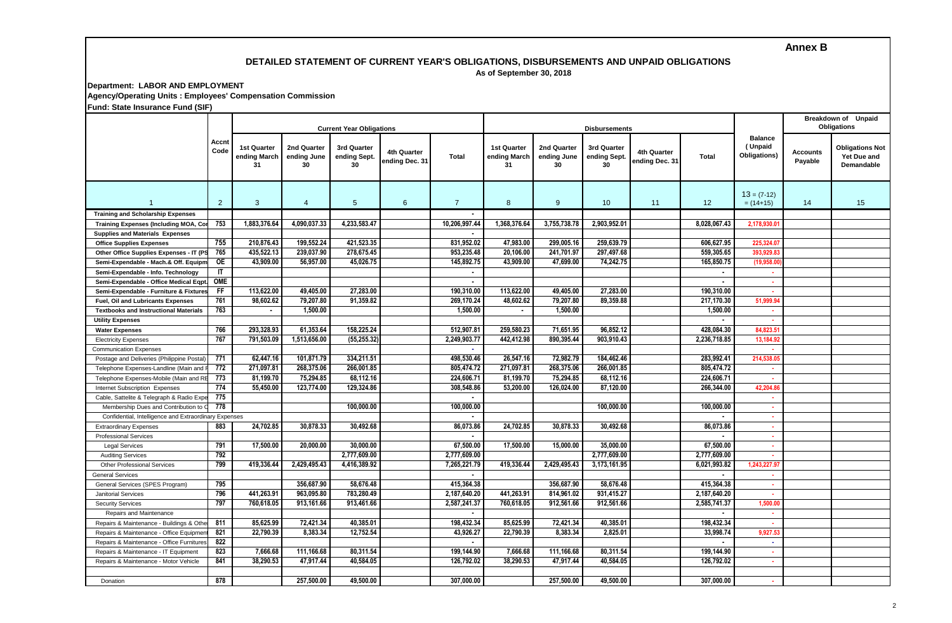# **Annex B**

#### **DETAILED STATEMENT OF CURRENT YEAR'S OBLIGATIONS, DISBURSEMENTS AND UNPAID OBLIGATIONS As of September 30, 2018**

**Department: LABOR AND EMPLOYMENT**

**Agency/Operating Units : Employees' Compensation Commission**

**Fund: State Insurance Fund (SIF)**

|                                                       | Accnt<br>Code |                                    |                                  | <b>Current Year Obligations</b>   |                                      |                |                                   |                                  | <b>Disbursements</b>             |                               | Breakdown of Unpaid<br><b>Obligations</b> |                                           |                     |                                                            |
|-------------------------------------------------------|---------------|------------------------------------|----------------------------------|-----------------------------------|--------------------------------------|----------------|-----------------------------------|----------------------------------|----------------------------------|-------------------------------|-------------------------------------------|-------------------------------------------|---------------------|------------------------------------------------------------|
|                                                       |               | 1st Quarter<br>ending March<br>-31 | 2nd Quarter<br>ending June<br>30 | 3rd Quarter<br>ending Sept.<br>30 | <b>4th Quarter</b><br>ending Dec. 31 | <b>Total</b>   | 1st Quarter<br>ending March<br>31 | 2nd Quarter<br>ending June<br>30 | 3rd Quarter<br>ending Sept<br>30 | 4th Quarter<br>ending Dec. 31 | <b>Total</b>                              | <b>Balance</b><br>(Unpaid<br>Obligations) | Accounts<br>Payable | <b>Obligations Not</b><br>Yet Due and<br><b>Demandable</b> |
| $\overline{1}$                                        | 2             | $\mathbf{3}$                       | $\overline{4}$                   | $5\phantom{.0}$                   | 6                                    | $\overline{7}$ | 8                                 | 9                                | 10                               | 11                            | 12                                        | $13 = (7-12)$<br>$= (14+15)$              | 14                  | 15                                                         |
| <b>Training and Scholarship Expenses</b>              |               |                                    |                                  |                                   |                                      |                |                                   |                                  |                                  |                               |                                           |                                           |                     |                                                            |
| <b>Training Expenses (Including MOA, Co</b>           | 753           | 1,883,376.64                       | 4,090,037.33                     | 4,233,583.47                      |                                      | 10,206,997.44  | 1,368,376.64                      | 3,755,738.78                     | 2,903,952.01                     |                               | 8,028,067.43                              | 2,178,930.0                               |                     |                                                            |
| <b>Supplies and Materials Expenses</b>                |               |                                    |                                  |                                   |                                      |                |                                   |                                  |                                  |                               |                                           |                                           |                     |                                                            |
| <b>Office Supplies Expenses</b>                       | 755           | 210.876.43                         | 199,552.24                       | 421.523.35                        |                                      | 831,952.02     | 47,983.00                         | 299.005.16                       | 259,639.79                       |                               | 606.627.95                                | 225,324.0                                 |                     |                                                            |
| Other Office Supplies Expenses - IT (P                | 765           | 435,522.13                         | 239,037.90                       | 278,675.45                        |                                      | 953,235.48     | 20,106.00                         | 241,701.97                       | 297,497.68                       |                               | 559,305.65                                | 393,929.8                                 |                     |                                                            |
| Semi-Expendable - Mach.& Off. Equipn                  | 0E            | 43,909.00                          | 56,957.00                        | 45,026.75                         |                                      | 145,892.75     | 43,909.00                         | 47,699.00                        | 74,242.75                        |                               | 165,850.75                                | (19,958.0)                                |                     |                                                            |
| Semi-Expendable - Info. Technology                    | IT            |                                    |                                  |                                   |                                      | $\blacksquare$ |                                   |                                  |                                  |                               | $\blacksquare$                            | ×                                         |                     |                                                            |
| Semi-Expendable - Office Medical Eqpt                 | OME           |                                    |                                  |                                   |                                      | $\blacksquare$ |                                   |                                  |                                  |                               | $\blacksquare$                            | ×                                         |                     |                                                            |
| Semi-Expendable - Furniture & Fixture                 | FF            | 113,622.00                         | 49,405.00                        | 27,283.00                         |                                      | 190,310.00     | 113,622.00                        | 49,405.00                        | 27,283.00                        |                               | 190,310.00                                | ×.                                        |                     |                                                            |
| Fuel, Oil and Lubricants Expenses                     | 761           | 98,602.62                          | 79,207.80                        | 91,359.82                         |                                      | 269,170.24     | 48,602.62                         | 79,207.80                        | 89,359.88                        |                               | 217,170.30                                | 51,999.9                                  |                     |                                                            |
| <b>Textbooks and Instructional Materials</b>          | 763           | $\sim$                             | 1,500.00                         |                                   |                                      | 1,500.00       | $\blacksquare$                    | 1,500.00                         |                                  |                               | 1,500.00                                  | ×.                                        |                     |                                                            |
| <b>Utility Expenses</b>                               |               |                                    |                                  |                                   |                                      |                |                                   |                                  |                                  |                               | $\blacksquare$                            | ×                                         |                     |                                                            |
| <b>Water Expenses</b>                                 | 766           | 293,328.93                         | 61,353.64                        | 158,225.24                        |                                      | 512,907.81     | 259,580.23                        | 71,651.95                        | 96,852.12                        |                               | 428,084.30                                | 84,823.5                                  |                     |                                                            |
| <b>Electricity Expenses</b>                           | 767           | 791.503.09                         | 1.513.656.00                     | (55.255.32                        |                                      | 2.249.903.77   | 442.412.98                        | 890.395.44                       | 903.910.43                       |                               | 2.236.718.85                              | 13.184.9                                  |                     |                                                            |
| <b>Communication Expenses</b>                         |               |                                    |                                  |                                   |                                      | $\sim$         |                                   |                                  |                                  |                               |                                           |                                           |                     |                                                            |
| Postage and Deliveries (Philippine Postal             | 771           | 62.447.16                          | 101,871.79                       | 334.211.51                        |                                      | 498.530.46     | 26.547.16                         | 72.982.79                        | 184.462.46                       |                               | 283.992.41                                | 214.538.0                                 |                     |                                                            |
| Telephone Expenses-Landline (Main and                 | 772           | 271.097.81                         | 268,375.06                       | 266.001.85                        |                                      | 805.474.72     | 271.097.81                        | 268,375.06                       | 266.001.85                       |                               | 805.474.72                                |                                           |                     |                                                            |
| Telephone Expenses-Mobile (Main and F                 | 773           | 81,199.70                          | 75,294.85                        | 68.112.16                         |                                      | 224.606.71     | 81,199.70                         | 75.294.85                        | 68,112.16                        |                               | 224.606.71                                |                                           |                     |                                                            |
| Internet Subscription Expenses                        | 774           | 55.450.00                          | 123,774.00                       | 129.324.86                        |                                      | 308.548.86     | 53,200.00                         | 126.024.00                       | 87.120.00                        |                               | 266.344.00                                | 42.204.8                                  |                     |                                                            |
| Cable, Sattelite & Telegraph & Radio Exp              | 775           |                                    |                                  |                                   |                                      |                |                                   |                                  |                                  |                               |                                           | ×                                         |                     |                                                            |
| Membership Dues and Contribution to                   | 778           |                                    |                                  | 100.000.00                        |                                      | 100.000.00     |                                   |                                  | 100,000.00                       |                               | 100,000.00                                | ×                                         |                     |                                                            |
| Confidential, Intelligence and Extraordinary Expenses |               |                                    |                                  |                                   |                                      |                |                                   |                                  |                                  |                               |                                           | ٠                                         |                     |                                                            |
| <b>Extraordinary Expenses</b>                         | 883           | 24,702.85                          | 30,878.33                        | 30,492.68                         |                                      | 86,073.86      | 24,702.85                         | 30,878.33                        | 30,492.68                        |                               | 86,073.86                                 | ×.                                        |                     |                                                            |
|                                                       |               |                                    |                                  |                                   |                                      |                |                                   |                                  |                                  |                               |                                           |                                           |                     |                                                            |
| <b>Professional Services</b><br><b>Legal Services</b> | 791           | 17,500.00                          | 20,000.00                        | 30,000.00                         |                                      | 67,500.00      | 17,500.00                         | 15,000.00                        | 35,000.00                        |                               | 67,500.00                                 | ٠                                         |                     |                                                            |
| <b>Auditing Services</b>                              | 792           |                                    |                                  | 2,777,609.00                      |                                      | 2,777,609.00   |                                   |                                  | 2,777,609.00                     |                               | 2,777,609.00                              |                                           |                     |                                                            |
|                                                       | 799           | 419,336.44                         | 2,429,495.43                     | 4,416,389.92                      |                                      | 7,265,221.79   | 419,336.44                        | 2,429,495.43                     | 3,173,161.95                     |                               | 6,021,993.82                              | 1,243,227.91                              |                     |                                                            |
| <b>Other Professional Services</b>                    |               |                                    |                                  |                                   |                                      |                |                                   |                                  |                                  |                               |                                           |                                           |                     |                                                            |
| <b>General Services</b>                               | 795           |                                    | 356,687.90                       | 58,676.48                         |                                      | 415,364.38     |                                   | 356,687.90                       | 58,676.48                        |                               | 415,364.38                                | ×                                         |                     |                                                            |
| General Services (SPES Program)                       | 796           | 441,263.91                         | 963,095.80                       | 783,280.49                        |                                      | 2,187,640.20   | 441,263.91                        | 814,961.02                       | 931,415.27                       |                               |                                           | ×                                         |                     |                                                            |
| <b>Janitorial Services</b>                            | 797           | 760,618.05                         | 913,161.66                       | 913,461.66                        |                                      | 2,587,241.37   | 760,618.05                        | 912,561.66                       | 912,561.66                       |                               | 2,187,640.20                              | ×<br>1,500.0                              |                     |                                                            |
| <b>Security Services</b>                              |               |                                    |                                  |                                   |                                      |                |                                   |                                  |                                  |                               | 2,585,741.37                              |                                           |                     |                                                            |
| Repairs and Maintenance                               |               |                                    |                                  |                                   |                                      | $\blacksquare$ |                                   |                                  |                                  |                               | $\blacksquare$                            | $\sim$                                    |                     |                                                            |
| Repairs & Maintenance - Buildings & Othe              | 811           | 85,625.99                          | 72,421.34                        | 40,385.01                         |                                      | 198,432.34     | 85,625.99                         | 72,421.34                        | 40,385.01                        |                               | 198,432.34                                | $\sim$                                    |                     |                                                            |
| Repairs & Maintenance - Office Equipme                | 821           | 22,790.39                          | 8,383.34                         | 12,752.54                         |                                      | 43,926.27      | 22,790.39                         | 8,383.34                         | 2,825.01                         |                               | 33,998.74                                 | 9,927.5                                   |                     |                                                            |
| Repairs & Maintenance - Office Furniture              | 822           |                                    |                                  |                                   |                                      | $\sim$         |                                   |                                  |                                  |                               | $\blacksquare$                            | ×.                                        |                     |                                                            |
| Repairs & Maintenance - IT Equipment                  | 823           | 7.666.68                           | 111,166.68                       | 80.311.54                         |                                      | 199,144.90     | 7,666.68                          | 111.166.68                       | 80.311.54                        |                               | 199.144.90                                | $\sim$                                    |                     |                                                            |
| Repairs & Maintenance - Motor Vehicle                 | 841           | 38,290.53                          | 47,917.44                        | 40.584.05                         |                                      | 126.792.02     | 38.290.53                         | 47,917.44                        | 40.584.05                        |                               | 126.792.02                                | ×.                                        |                     |                                                            |
| Donation                                              | 878           |                                    | 257.500.00                       | 49,500.00                         |                                      | 307.000.00     |                                   | 257.500.00                       | 49.500.00                        |                               | 307.000.00                                |                                           |                     |                                                            |